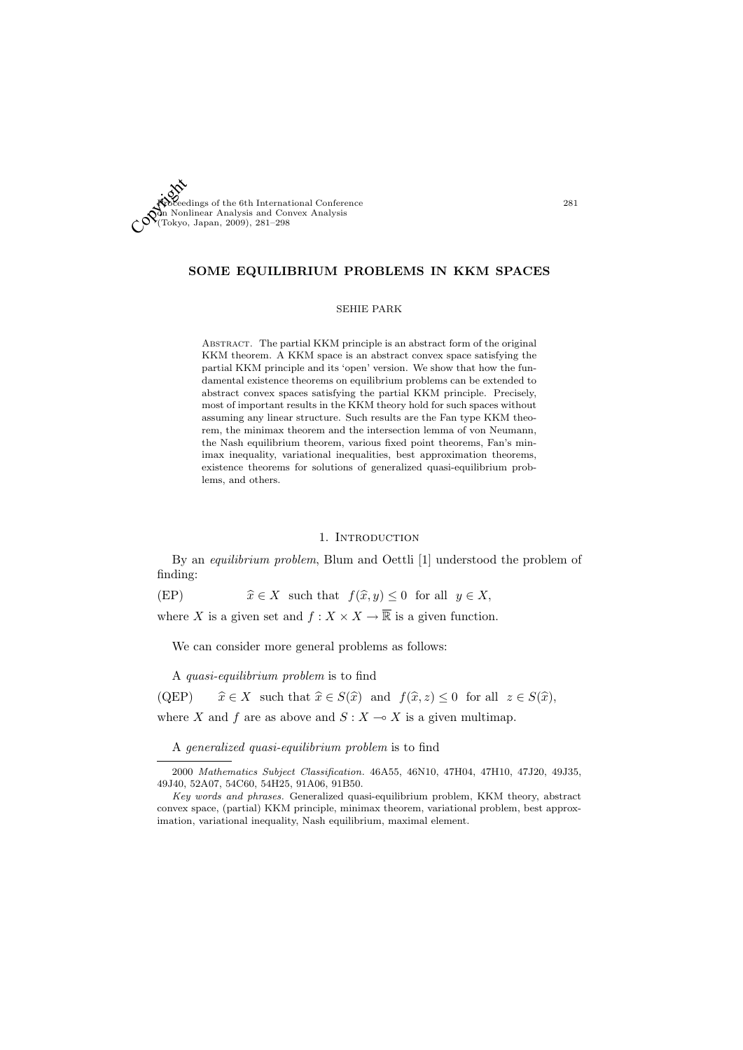

# SOME EQUILIBRIUM PROBLEMS IN KKM SPACES

## SEHIE PARK

Abstract. The partial KKM principle is an abstract form of the original KKM theorem. A KKM space is an abstract convex space satisfying the partial KKM principle and its 'open' version. We show that how the fundamental existence theorems on equilibrium problems can be extended to abstract convex spaces satisfying the partial KKM principle. Precisely, most of important results in the KKM theory hold for such spaces without assuming any linear structure. Such results are the Fan type KKM theorem, the minimax theorem and the intersection lemma of von Neumann, the Nash equilibrium theorem, various fixed point theorems, Fan's minimax inequality, variational inequalities, best approximation theorems, existence theorems for solutions of generalized quasi-equilibrium problems, and others.

## 1. INTRODUCTION

By an equilibrium problem, Blum and Oettli [1] understood the problem of finding:

(EP)  $\hat{x} \in X$  such that  $f(\hat{x}, y) \leq 0$  for all  $y \in X$ ,

where X is a given set and  $f: X \times X \to \overline{\mathbb{R}}$  is a given function.

We can consider more general problems as follows:

A quasi-equilibrium problem is to find

(QEP)  $\hat{x} \in X$  such that  $\hat{x} \in S(\hat{x})$  and  $f(\hat{x}, z) \leq 0$  for all  $z \in S(\hat{x})$ , where X and f are as above and  $S: X \to X$  is a given multimap.

A generalized quasi-equilibrium problem is to find

<sup>2000</sup> Mathematics Subject Classification. 46A55, 46N10, 47H04, 47H10, 47J20, 49J35, 49J40, 52A07, 54C60, 54H25, 91A06, 91B50.

Key words and phrases. Generalized quasi-equilibrium problem, KKM theory, abstract convex space, (partial) KKM principle, minimax theorem, variational problem, best approximation, variational inequality, Nash equilibrium, maximal element.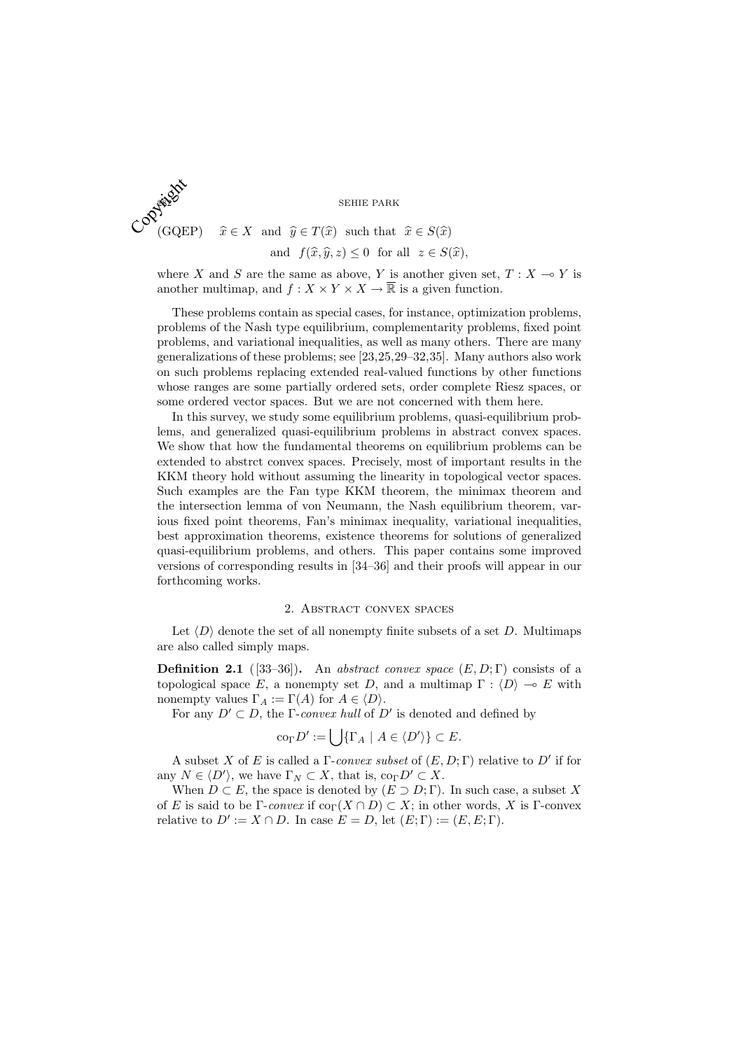

and 
$$
f(\widehat{x}, \widehat{y}, z) \le 0
$$
 for all  $z \in S(\widehat{x})$ ,

where X and S are the same as above, Y is another given set,  $T : X \to Y$  is another multimap, and  $f: X \times Y \times X \to \overline{\mathbb{R}}$  is a given function.

These problems contain as special cases, for instance, optimization problems, problems of the Nash type equilibrium, complementarity problems, fixed point problems, and variational inequalities, as well as many others. There are many generalizations of these problems; see [23,25,29–32,35]. Many authors also work on such problems replacing extended real-valued functions by other functions whose ranges are some partially ordered sets, order complete Riesz spaces, or some ordered vector spaces. But we are not concerned with them here.

In this survey, we study some equilibrium problems, quasi-equilibrium problems, and generalized quasi-equilibrium problems in abstract convex spaces. We show that how the fundamental theorems on equilibrium problems can be extended to abstrct convex spaces. Precisely, most of important results in the KKM theory hold without assuming the linearity in topological vector spaces. Such examples are the Fan type KKM theorem, the minimax theorem and the intersection lemma of von Neumann, the Nash equilibrium theorem, various fixed point theorems, Fan's minimax inequality, variational inequalities, best approximation theorems, existence theorems for solutions of generalized quasi-equilibrium problems, and others. This paper contains some improved versions of corresponding results in [34–36] and their proofs will appear in our forthcoming works.

## 2. Abstract convex spaces

Let  $\langle D \rangle$  denote the set of all nonempty finite subsets of a set D. Multimaps are also called simply maps.

**Definition 2.1** ([33–36]). An abstract convex space  $(E, D; \Gamma)$  consists of a topological space E, a nonempty set D, and a multimap  $\Gamma : \langle D \rangle \to E$  with nonempty values  $\Gamma_A := \Gamma(A)$  for  $A \in \langle D \rangle$ .

For any  $D' \subset D$ , the Γ-convex hull of D' is denoted and defined by

$$
co_{\Gamma} D' := \bigcup \{ \Gamma_A \mid A \in \langle D' \rangle \} \subset E.
$$

A subset X of E is called a  $\Gamma$ -convex subset of  $(E, D; \Gamma)$  relative to D' if for any  $N \in \langle D' \rangle$ , we have  $\Gamma_N \subset X$ , that is,  $\text{co}_{\Gamma} D' \subset X$ .

When  $D \subset E$ , the space is denoted by  $(E \supset D; \Gamma)$ . In such case, a subset X of E is said to be Γ-convex if  $\text{co}_{\Gamma}(X \cap D) \subset X$ ; in other words, X is Γ-convex relative to  $D' := X \cap D$ . In case  $E = D$ , let  $(E; \Gamma) := (E, E; \Gamma)$ .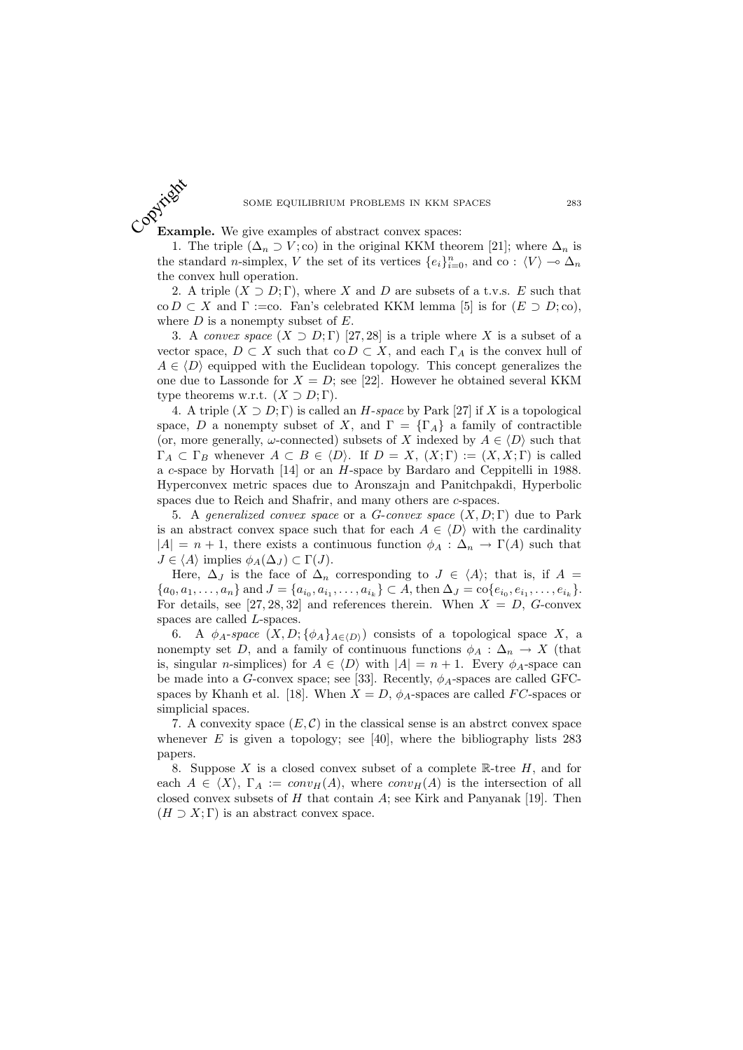Example. We give examples of abstract convex spaces: Copyright

1. The triple  $(\Delta_n \supset V; \text{co})$  in the original KKM theorem [21]; where  $\Delta_n$  is the standard *n*-simplex, V the set of its vertices  $\{e_i\}_{i=0}^n$ , and co :  $\langle V \rangle \to \Delta_n$ the convex hull operation.

2. A triple  $(X \supset D; \Gamma)$ , where X and D are subsets of a t.v.s. E such that co  $D \subset X$  and  $\Gamma :=$ co. Fan's celebrated KKM lemma [5] is for  $(E \supset D;$ co), where  $D$  is a nonempty subset of  $E$ .

3. A convex space  $(X \supset D; \Gamma)$  [27, 28] is a triple where X is a subset of a vector space,  $D \subset X$  such that co  $D \subset X$ , and each  $\Gamma_A$  is the convex hull of  $A \in \langle D \rangle$  equipped with the Euclidean topology. This concept generalizes the one due to Lassonde for  $X = D$ ; see [22]. However he obtained several KKM type theorems w.r.t.  $(X \supset D; \Gamma)$ .

4. A triple  $(X \supset D; \Gamma)$  is called an H-space by Park [27] if X is a topological space, D a nonempty subset of X, and  $\Gamma = {\{\Gamma_A\}}$  a family of contractible (or, more generally,  $\omega$ -connected) subsets of X indexed by  $A \in \langle D \rangle$  such that  $\Gamma_A \subset \Gamma_B$  whenever  $A \subset B \in \langle D \rangle$ . If  $D = X$ ,  $(X;\Gamma) := (X,X;\Gamma)$  is called a c-space by Horvath [14] or an H-space by Bardaro and Ceppitelli in 1988. Hyperconvex metric spaces due to Aronszajn and Panitchpakdi, Hyperbolic spaces due to Reich and Shafrir, and many others are c-spaces.

5. A generalized convex space or a G-convex space  $(X, D; \Gamma)$  due to Park is an abstract convex space such that for each  $A \in \langle D \rangle$  with the cardinality  $|A| = n + 1$ , there exists a continuous function  $\phi_A : \Delta_n \to \Gamma(A)$  such that  $J \in \langle A \rangle$  implies  $\phi_A(\Delta_J) \subset \Gamma(J)$ .

Here,  $\Delta_J$  is the face of  $\Delta_n$  corresponding to  $J \in \langle A \rangle$ ; that is, if  $A =$  ${a_0, a_1, \ldots, a_n}$  and  $J = {a_{i_0}, a_{i_1}, \ldots, a_{i_k}} \subset A$ , then  $\Delta_J = \text{co}\{e_{i_0}, e_{i_1}, \ldots, e_{i_k}\}.$ For details, see [27, 28, 32] and references therein. When  $X = D$ , G-convex spaces are called L-spaces.

6. A  $\phi_A$ -space  $(X, D; {\phi_A}_{A\in\langle D \rangle})$  consists of a topological space X, a nonempty set D, and a family of continuous functions  $\phi_A : \Delta_n \to X$  (that is, singular *n*-simplices) for  $A \in \langle D \rangle$  with  $|A| = n + 1$ . Every  $\phi_A$ -space can be made into a G-convex space; see [33]. Recently,  $\phi_A$ -spaces are called GFCspaces by Khanh et al. [18]. When  $X = D$ ,  $\phi_A$ -spaces are called FC-spaces or simplicial spaces.

7. A convexity space  $(E, \mathcal{C})$  in the classical sense is an abstrct convex space whenever  $E$  is given a topology; see [40], where the bibliography lists 283 papers.

8. Suppose  $X$  is a closed convex subset of a complete  $\mathbb{R}$ -tree  $H$ , and for each  $A \in \langle X \rangle$ ,  $\Gamma_A := conv_H(A)$ , where  $conv_H(A)$  is the intersection of all closed convex subsets of  $H$  that contain  $A$ ; see Kirk and Panyanak [19]. Then  $(H \supset X; \Gamma)$  is an abstract convex space.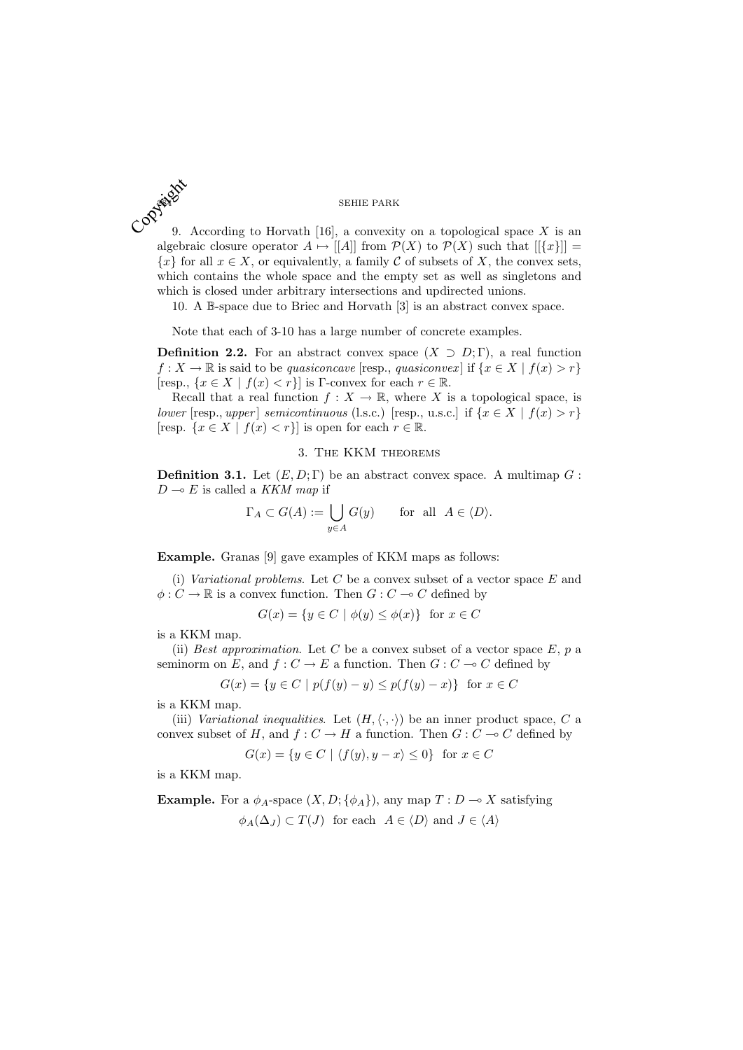9. According to Horvath [16], a convexity on a topological space  $X$  is an algebraic closure operator  $A \mapsto |[A]|$  from  $\mathcal{P}(X)$  to  $\mathcal{P}(X)$  such that  $|[\{x\}]|$  =  ${x}$  for all  $x \in X$ , or equivalently, a family C of subsets of X, the convex sets, which contains the whole space and the empty set as well as singletons and which is closed under arbitrary intersections and updirected unions.

10. A B-space due to Briec and Horvath [3] is an abstract convex space.

Note that each of 3-10 has a large number of concrete examples.

**Definition 2.2.** For an abstract convex space  $(X \supset D; \Gamma)$ , a real function  $f: X \to \mathbb{R}$  is said to be quasiconcave [resp., quasiconvex] if  $\{x \in X \mid f(x) > r\}$ [resp.,  $\{x \in X \mid f(x) < r\}$ ] is Γ-convex for each  $r \in \mathbb{R}$ .

Recall that a real function  $f: X \to \mathbb{R}$ , where X is a topological space, is lower [resp., upper] semicontinuous (l.s.c.) [resp., u.s.c.] if  $\{x \in X \mid f(x) > r\}$ [resp.  $\{x \in X \mid f(x) < r\}$ ] is open for each  $r \in \mathbb{R}$ .

## 3. The KKM theorems

**Definition 3.1.** Let  $(E, D; \Gamma)$  be an abstract convex space. A multimap  $G$ :  $D \multimap E$  is called a KKM map if

$$
\Gamma_A \subset G(A) := \bigcup_{y \in A} G(y) \quad \text{for all } A \in \langle D \rangle.
$$

Example. Granas [9] gave examples of KKM maps as follows:

(i) Variational problems. Let  $C$  be a convex subset of a vector space  $E$  and  $\phi: C \to \mathbb{R}$  is a convex function. Then  $G: C \to C$  defined by

 $G(x) = \{y \in C \mid \phi(y) \leq \phi(x)\}\$ for  $x \in C$ 

is a KKM map.

(ii) Best approximation. Let C be a convex subset of a vector space  $E$ , p a seminorm on E, and  $f: C \to E$  a function. Then  $G: C \to C$  defined by

$$
G(x) = \{ y \in C \mid p(f(y) - y) \le p(f(y) - x) \} \text{ for } x \in C
$$

is a KKM map.

(iii) Variational inequalities. Let  $(H, \langle \cdot, \cdot \rangle)$  be an inner product space, C a convex subset of H, and  $f: C \to H$  a function. Then  $G: C \to C$  defined by

$$
G(x) = \{ y \in C \mid \langle f(y), y - x \rangle \le 0 \} \text{ for } x \in C
$$

is a KKM map.

**Example.** For a  $\phi_A$ -space  $(X, D; {\phi_A})$ , any map  $T : D \to X$  satisfying  $\phi_A(\Delta_J) \subset T(J)$  for each  $A \in \langle D \rangle$  and  $J \in \langle A \rangle$ 

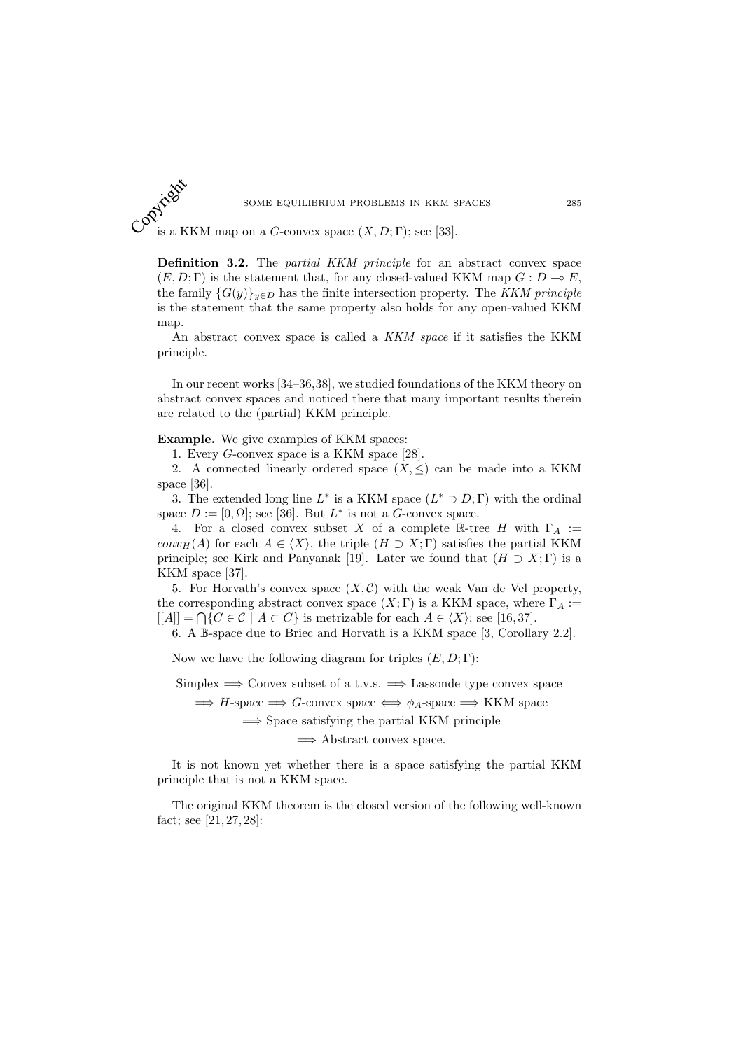

SOME EQUILIBRIUM PROBLEMS IN KKM S<br>
COPYRIGHT ON A G-CONVEX Space  $(X, D; \Gamma)$ ; see [33].

Definition 3.2. The *partial KKM principle* for an abstract convex space  $(E, D; \Gamma)$  is the statement that, for any closed-valued KKM map  $G: D \to E$ , the family  $\{G(y)\}_{y\in D}$  has the finite intersection property. The KKM principle is the statement that the same property also holds for any open-valued KKM map.

An abstract convex space is called a KKM space if it satisfies the KKM principle.

In our recent works [34–36,38], we studied foundations of the KKM theory on abstract convex spaces and noticed there that many important results therein are related to the (partial) KKM principle.

Example. We give examples of KKM spaces:

1. Every G-convex space is a KKM space [28].

2. A connected linearly ordered space  $(X, \leq)$  can be made into a KKM space [36].

3. The extended long line  $L^*$  is a KKM space  $(L^* \supset D; \Gamma)$  with the ordinal space  $D := [0, \Omega]$ ; see [36]. But  $L^*$  is not a G-convex space.

4. For a closed convex subset X of a complete R-tree H with  $\Gamma_A :=$  $conv_H(A)$  for each  $A \in \langle X \rangle$ , the triple  $(H \supset X; \Gamma)$  satisfies the partial KKM principle; see Kirk and Panyanak [19]. Later we found that  $(H \supset X; \Gamma)$  is a KKM space [37].

5. For Horvath's convex space  $(X, \mathcal{C})$  with the weak Van de Vel property, the corresponding abstract convex space  $(X; \Gamma)$  is a KKM space, where  $\Gamma_A :=$  $[|A|] = \bigcap \{C \in \mathcal{C} \mid A \subset C\}$  is metrizable for each  $A \in \langle X \rangle$ ; see [16,37].

6. A B-space due to Briec and Horvath is a KKM space [3, Corollary 2.2].

Now we have the following diagram for triples  $(E, D; \Gamma)$ :

Simplex  $\implies$  Convex subset of a t.v.s.  $\implies$  Lassonde type convex space

 $\implies$  H-space  $\implies$  G-convex space  $\iff \phi_A$ -space  $\implies$  KKM space

 $\Rightarrow$  Space satisfying the partial KKM principle

 $\Rightarrow$  Abstract convex space.

It is not known yet whether there is a space satisfying the partial KKM principle that is not a KKM space.

The original KKM theorem is the closed version of the following well-known fact; see [21, 27, 28]: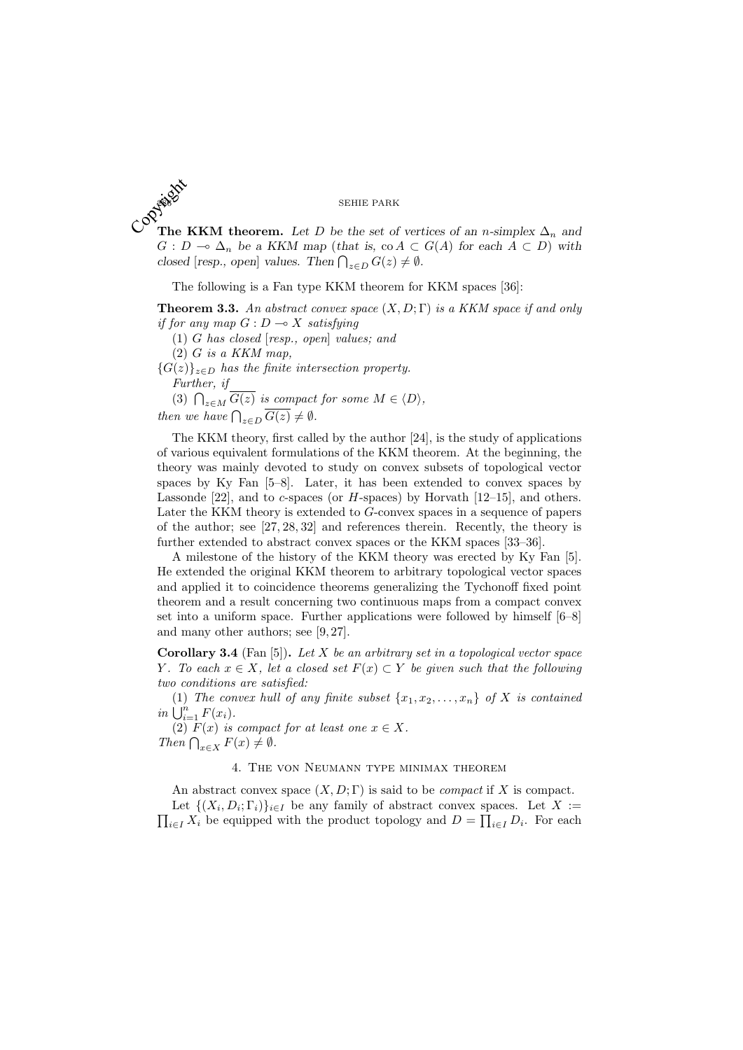The KKM theorem. Let D be the set of vertices of an n-simplex  $\Delta_n$  and  $\mathbb{C}^{\mathbb{Q}^{\mathbb{Z}^{\mathbb{Z}}}}$  $G: D \multimap \Delta_n$  be a KKM map (that is, co  $A \subset G(A)$  for each  $A \subset D$ ) with G:  $D \to \Delta_n$  be a KKM map (that is, co  $A \subseteq \text{closed}$  [resp., open] values. Then  $\bigcap_{z \in D} G(z) \neq \emptyset$ .

The following is a Fan type KKM theorem for KKM spaces [36]:

**Theorem 3.3.** An abstract convex space  $(X, D; \Gamma)$  is a KKM space if and only if for any map  $G: D \longrightarrow X$  satisfying

(1) G has closed [resp., open] values; and  $(2)$  G is a KKM map,

 ${G(z)}_{z\in D}$  has the finite intersection property. Further, if

Further,  $y$ <br>(3)  $\bigcap_{z \in M} \overline{G(z)}$  is compact for some  $M \in \langle D \rangle$ , then we have  $\bigcap_{z \in D} \overline{G(z)} \neq \emptyset$ .

The KKM theory, first called by the author [24], is the study of applications of various equivalent formulations of the KKM theorem. At the beginning, the theory was mainly devoted to study on convex subsets of topological vector spaces by Ky Fan [5–8]. Later, it has been extended to convex spaces by Lassonde  $[22]$ , and to c-spaces (or H-spaces) by Horvath  $[12-15]$ , and others. Later the KKM theory is extended to G-convex spaces in a sequence of papers of the author; see [27, 28, 32] and references therein. Recently, the theory is further extended to abstract convex spaces or the KKM spaces [33–36].

A milestone of the history of the KKM theory was erected by Ky Fan [5]. He extended the original KKM theorem to arbitrary topological vector spaces and applied it to coincidence theorems generalizing the Tychonoff fixed point theorem and a result concerning two continuous maps from a compact convex set into a uniform space. Further applications were followed by himself [6–8] and many other authors; see [9, 27].

**Corollary 3.4** (Fan [5]). Let X be an arbitrary set in a topological vector space Y. To each  $x \in X$ , let a closed set  $F(x) \subset Y$  be given such that the following two conditions are satisfied:

(1) The convex hull of any finite subset  $\{x_1, x_2, \ldots, x_n\}$  of X is contained  $in \bigcup_{i=1}^{n} F(x_i).$ 

(2)  $F(x)$  is compact for at least one  $x \in X$ . (2)  $F(x)$  is compact<br>Then  $\bigcap_{x\in X} F(x) \neq \emptyset$ .

# 4. The von Neumann type minimax theorem

An abstract convex space  $(X, D; \Gamma)$  is said to be *compact* if X is compact. Let  $\{(X_i, D_i; \Gamma_i)\}_{i \in I}$  be any family of abstract convex spaces. Let  $X :=$ Let  $\{\{X_i, D_i; \Gamma_i\}\}_{i\in I}$  be any lamny of abstract convex spaces. Let  $X := \prod_{i\in I} X_i$  be equipped with the product topology and  $D = \prod_{i\in I} D_i$ . For each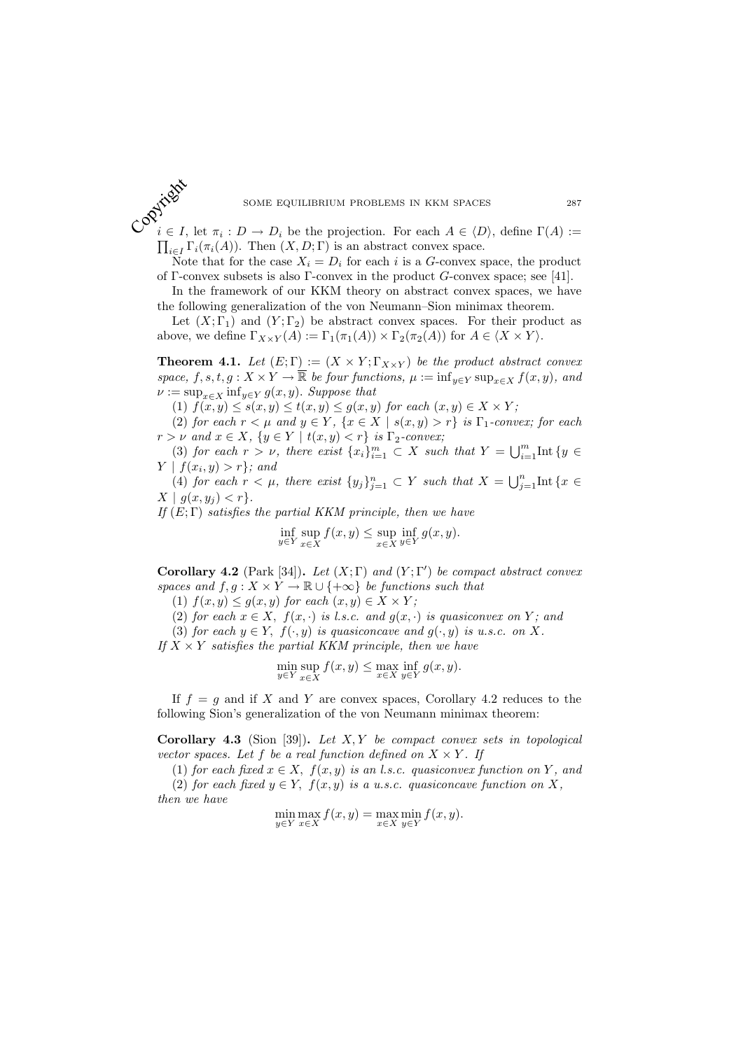SOME EQUILIBRIUM PROBLEMS IN KKM SPACES 287<br>
COP<sub> $i \in I$ </sub>, let  $\pi_i : D \to D_i$  be the projection. For each  $A \in \langle D \rangle$ , define  $\Gamma(A) :=$  $\prod_{i\in I} \Gamma_i(\pi_i(A))$ . Then  $(X, D; \Gamma)$  is an abstract convex space.

Note that for the case  $X_i = D_i$  for each i is a G-convex space, the product of Γ-convex subsets is also Γ-convex in the product  $G$ -convex space; see [41].

In the framework of our KKM theory on abstract convex spaces, we have the following generalization of the von Neumann–Sion minimax theorem.

Let  $(X; \Gamma_1)$  and  $(Y; \Gamma_2)$  be abstract convex spaces. For their product as above, we define  $\Gamma_{X\times Y}(A) := \Gamma_1(\pi_1(A)) \times \Gamma_2(\pi_2(A))$  for  $A \in \langle X \times Y \rangle$ .

**Theorem 4.1.** Let  $(E; \Gamma) := (X \times Y; \Gamma_{X \times Y})$  be the product abstract convex space,  $f, s, t, g: X \times Y \to \overline{\mathbb{R}}$  be four functions,  $\mu := \inf_{y \in Y} \sup_{x \in X} f(x, y)$ , and  $\nu := \sup_{x \in X} \inf_{y \in Y} g(x, y)$ . Suppose that

(1)  $f(x, y) \leq s(x, y) \leq t(x, y) \leq g(x, y)$  for each  $(x, y) \in X \times Y$ ;

(2) for each  $r < \mu$  and  $y \in Y$ ,  $\{x \in X \mid s(x, y) > r\}$  is  $\Gamma_1$ -convex; for each  $r > \nu$  and  $x \in X$ ,  $\{y \in Y \mid t(x, y) < r\}$  is  $\Gamma_2$ -convex;

(3) for each  $r > \nu$ , there exist  $\{x_i\}_{i=1}^m \subset X$  such that  $Y = \bigcup_{i=1}^m \text{Int } \{y \in X\}$  $Y \mid f(x_i, y) > r$ ; and

(4) for each  $r < \mu$ , there exist  $\{y_j\}_{j=1}^n \subset Y$  such that  $X = \bigcup_{j=1}^n \text{Int} \{x \in Y\}$  $X | g(x, y_i) < r$ .

If  $(E;\Gamma)$  satisfies the partial KKM principle, then we have

$$
\inf_{y \in Y} \sup_{x \in X} f(x, y) \le \sup_{x \in X} \inf_{y \in Y} g(x, y).
$$

Corollary 4.2 (Park [34]). Let  $(X; \Gamma)$  and  $(Y; \Gamma')$  be compact abstract convex spaces and  $f, g: X \times Y \to \mathbb{R} \cup \{+\infty\}$  be functions such that

(1)  $f(x, y) \leq g(x, y)$  for each  $(x, y) \in X \times Y$ ;

(2) for each  $x \in X$ ,  $f(x, \cdot)$  is l.s.c. and  $g(x, \cdot)$  is quasiconvex on Y; and

(3) for each  $y \in Y$ ,  $f(\cdot, y)$  is quasiconcave and  $g(\cdot, y)$  is u.s.c. on X.

If  $X \times Y$  satisfies the partial KKM principle, then we have

$$
\min_{y \in Y} \sup_{x \in X} f(x, y) \le \max_{x \in X} \inf_{y \in Y} g(x, y).
$$

If  $f = g$  and if X and Y are convex spaces, Corollary 4.2 reduces to the following Sion's generalization of the von Neumann minimax theorem:

Corollary 4.3 (Sion [39]). Let  $X, Y$  be compact convex sets in topological vector spaces. Let f be a real function defined on  $X \times Y$ . If

(1) for each fixed  $x \in X$ ,  $f(x, y)$  is an l.s.c. quasiconvex function on Y, and (2) for each fixed  $y \in Y$ ,  $f(x, y)$  is a u.s.c. quasiconcave function on X,

then we have

$$
\min_{y \in Y} \max_{x \in X} f(x, y) = \max_{x \in X} \min_{y \in Y} f(x, y).
$$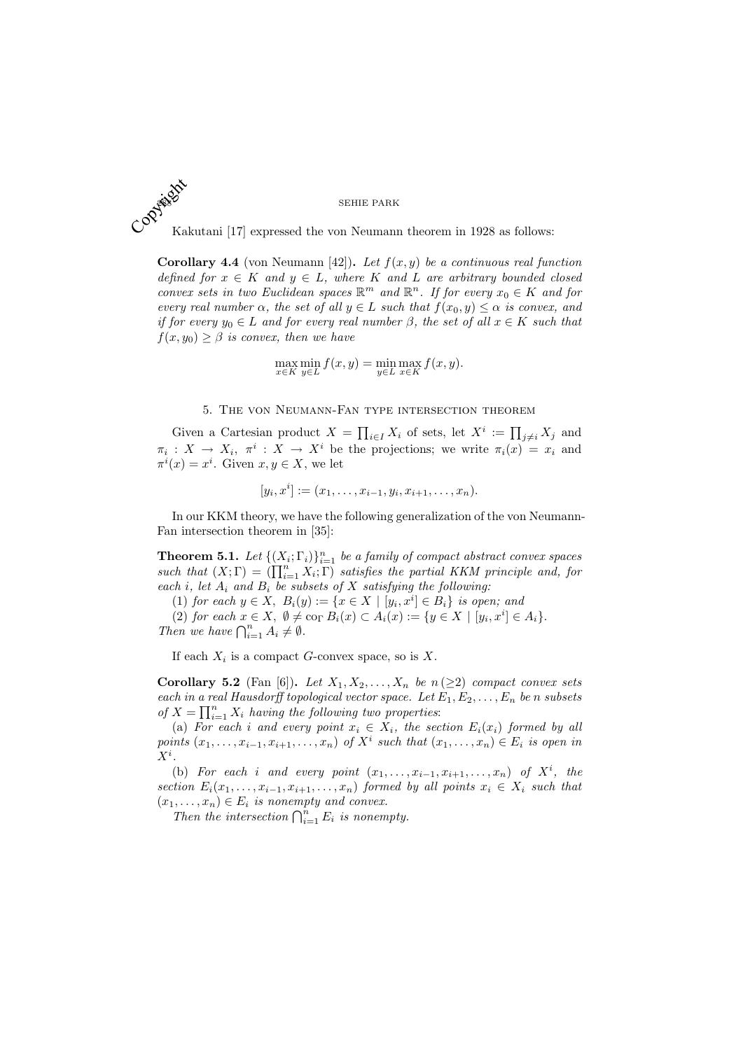Kakutani [17] expressed the von Neumann theorem in 1928 as follows: Copyright Ka

**Corollary 4.4** (von Neumann [42]). Let  $f(x, y)$  be a continuous real function defined for  $x \in K$  and  $y \in L$ , where K and L are arbitrary bounded closed convex sets in two Euclidean spaces  $\mathbb{R}^m$  and  $\mathbb{R}^n$ . If for every  $x_0 \in K$  and for every real number  $\alpha$ , the set of all  $y \in L$  such that  $f(x_0, y) \leq \alpha$  is convex, and if for every  $y_0 \in L$  and for every real number  $\beta$ , the set of all  $x \in K$  such that  $f(x, y_0) \geq \beta$  is convex, then we have

$$
\max_{x \in K} \min_{y \in L} f(x, y) = \min_{y \in L} \max_{x \in K} f(x, y).
$$

## 5. The von Neumann-Fan type intersection theorem

Given a Cartesian product  $X = \prod_{i \in I} X_i$  of sets, let  $X^i := \prod_{j \neq i} X_j$  and  $\pi_i: X \to X_i, \pi^i: X \to X^i$  be the projections; we write  $\pi_i(x) = x_i$  and  $\pi^i(x) = x^i$ . Given  $x, y \in X$ , we let

$$
[y_i, x^i] := (x_1, \dots, x_{i-1}, y_i, x_{i+1}, \dots, x_n).
$$

In our KKM theory, we have the following generalization of the von Neumann-Fan intersection theorem in [35]:

**Theorem 5.1.** Let  $\{(X_i; \Gamma_i)\}_{i=1}^n$  be a family of compact abstract convex spaces **Theorem 3.1.** Let  $\{ (X_i; 1_i) \}_{i=1}^n$  be a jamuy of compact abstract convex spaces<br>such that  $(X; \Gamma) = (\prod_{i=1}^n X_i; \Gamma)$  satisfies the partial KKM principle and, for each i, let  $A_i$  and  $B_i$  be subsets of X satisfying the following:

(1) for each  $y \in X$ ,  $B_i(y) := \{x \in X \mid [y_i, x^i] \in B_i\}$  is open; and

(2) for each  $x \in X$ ,  $\emptyset \neq \text{co}_{\Gamma} B_i(x) \subset A_i(x) := \{y \in X \mid [y_i, x^i] \in A_i\}.$ (2) for each  $x \in A$ ,  $\psi \neq$ <br>Then we have  $\bigcap_{i=1}^n A_i \neq \emptyset$ .

If each  $X_i$  is a compact G-convex space, so is X.

Corollary 5.2 (Fan [6]). Let  $X_1, X_2, \ldots, X_n$  be  $n \geq 2$ ) compact convex sets each in a real Hausdorff topological vector space. Let  $E_1, E_2, \ldots, E_n$  be n subsets of  $X = \prod_{i=1}^n X_i$  having the following two properties:

(a) For each i and every point  $x_i \in X_i$ , the section  $E_i(x_i)$  formed by all points  $(x_1, \ldots, x_{i-1}, x_{i+1}, \ldots, x_n)$  of  $X^i$  such that  $(x_1, \ldots, x_n) \in E_i$  is open in  $X^i$  .

(b) For each i and every point  $(x_1, \ldots, x_{i-1}, x_{i+1}, \ldots, x_n)$  of  $X^i$ , the section  $E_i(x_1, \ldots, x_{i-1}, x_{i+1}, \ldots, x_n)$  formed by all points  $x_i \in X_i$  such that  $(x_1, \ldots, x_n) \in E_i$  is nonempty and convex.

 $x_1, \ldots, x_n$   $\in E_i$  is nonempty and convex.<br>Then the intersection  $\bigcap_{i=1}^n E_i$  is nonempty.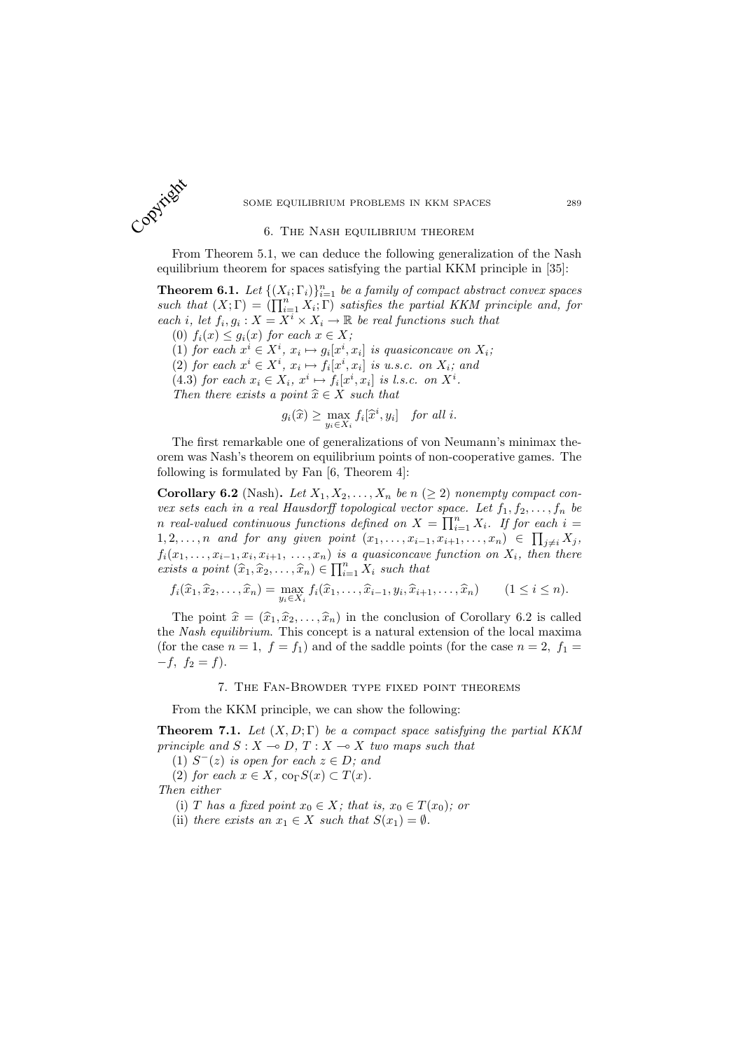

## 6. The Nash equilibrium theorem

From Theorem 5.1, we can deduce the following generalization of the Nash equilibrium theorem for spaces satisfying the partial KKM principle in [35]:

**Theorem 6.1.** Let  $\{(X_i; \Gamma_i)\}_{i=1}^n$  be a family of compact abstract convex spaces **Theorem 6.1.** Let  $\{ (X_i; 1_i) \}_{i=1}^n$  be a jamuy of compact abstract convex spaces<br>such that  $(X; \Gamma) = (\prod_{i=1}^n X_i; \Gamma)$  satisfies the partial KKM principle and, for each i, let  $f_i, g_i: X = X^i \times X_i \to \mathbb{R}$  be real functions such that

(0)  $f_i(x) \leq g_i(x)$  for each  $x \in X$ ; (1) for each  $x^i \in X^i$ ,  $x_i \mapsto g_i[x^i, x_i]$  is quasiconcave on  $X_i$ ; (2) for each  $x^i \in X^i$ ,  $x_i \mapsto f_i[x^i, x_i]$  is u.s.c. on  $X_i$ ; and (4.3) for each  $x_i \in X_i$ ,  $x^i \mapsto f_i[x^i, x_i]$  is l.s.c. on  $X^i$ . Then there exists a point  $\hat{x} \in X$  such that

$$
g_i(\widehat{x}) \ge \max_{y_i \in X_i} f_i[\widehat{x}^i, y_i] \quad \text{for all } i.
$$

The first remarkable one of generalizations of von Neumann's minimax theorem was Nash's theorem on equilibrium points of non-cooperative games. The following is formulated by Fan [6, Theorem 4]:

Corollary 6.2 (Nash). Let  $X_1, X_2, \ldots, X_n$  be  $n \geq 2$ ) nonempty compact convex sets each in a real Hausdorff topological vector space. Let  $f_1, f_2, \ldots, f_n$  be<br>go goal valued continuous functions defined an  $X = \prod^n X$ , if for each is n real-valued continuous functions defined on  $X = \prod_{i=1}^n X_i$ . If for each  $i = 1$  $1, 2, \ldots, n$  and for any given point  $(x_1, \ldots, x_{i-1}, x_{i+1}, \ldots, x_n) \in \prod_{j \neq i} X_j$ ,  $f_i(x_1,\ldots,x_{i-1},x_i,x_{i+1},\ldots,x_n)$  is a quasiconcave function on  $X_i$ , then there exists a point  $(\widehat{x}_1, \widehat{x}_2, \ldots, \widehat{x}_n) \in \prod_{i=1}^n X_i$  such that

$$
f_i(\widehat{x}_1, \widehat{x}_2, \dots, \widehat{x}_n) = \max_{y_i \in X_i} f_i(\widehat{x}_1, \dots, \widehat{x}_{i-1}, y_i, \widehat{x}_{i+1}, \dots, \widehat{x}_n) \qquad (1 \le i \le n).
$$

The point  $\hat{x} = (\hat{x}_1, \hat{x}_2, \dots, \hat{x}_n)$  in the conclusion of Corollary 6.2 is called the Nash equilibrium. This concept is a natural extension of the local maxima (for the case  $n = 1$ ,  $f = f_1$ ) and of the saddle points (for the case  $n = 2$ ,  $f_1 =$  $-f, f_2 = f$ ).

## 7. The Fan-Browder type fixed point theorems

From the KKM principle, we can show the following:

**Theorem 7.1.** Let  $(X, D; \Gamma)$  be a compact space satisfying the partial KKM principle and  $S : X \to D, T : X \to X$  two maps such that

(1)  $S^-(z)$  is open for each  $z \in D$ ; and (2) for each  $x \in X$ ,  $\text{co}_{\Gamma}S(x) \subset T(x)$ .

Then either

(i) T has a fixed point  $x_0 \in X$ ; that is,  $x_0 \in T(x_0)$ ; or

(ii) there exists an  $x_1 \in X$  such that  $S(x_1) = \emptyset$ .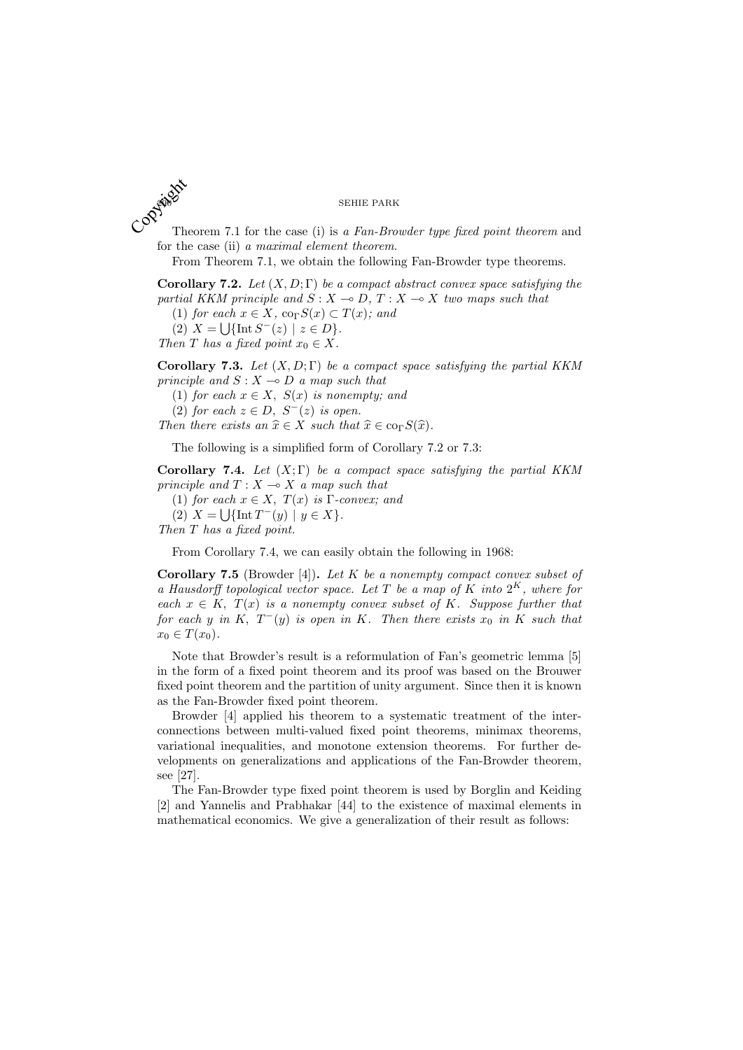Theorem 7.1 for the case (i) is a Fan-Browder type fixed point theorem and for the case (ii) a maximal element theorem. Copyright Th

From Theorem 7.1, we obtain the following Fan-Browder type theorems.

Corollary 7.2. Let  $(X, D; \Gamma)$  be a compact abstract convex space satisfying the partial KKM principle and  $S : X \to D, T : X \to X$  two maps such that

(1) for each  $x \in X$ ,  $\operatorname{co}_{\Gamma} S(x) \subset T(x)$ ; and

(2)  $X = \bigcup \{ \text{Int } S^{-}(z) \mid z \in D \}.$ 

Then T has a fixed point  $x_0 \in X$ .

Corollary 7.3. Let  $(X, D; \Gamma)$  be a compact space satisfying the partial KKM principle and  $S: X \rightarrow D$  a map such that

(1) for each  $x \in X$ ,  $S(x)$  is nonempty; and

(2) for each  $z \in D$ ,  $S^{-}(z)$  is open.

Then there exists an  $\hat{x} \in X$  such that  $\hat{x} \in \text{co}_\Gamma S(\hat{x})$ .

The following is a simplified form of Corollary 7.2 or 7.3:

Corollary 7.4. Let  $(X; \Gamma)$  be a compact space satisfying the partial KKM principle and  $T : X \longrightarrow X$  a map such that

(1) for each  $x \in X$ ,  $T(x)$  is  $\Gamma$ -convex; and

(2)  $X = \bigcup \{ \text{Int } T^-(y) \mid y \in X \}.$ 

Then T has a fixed point.

From Corollary 7.4, we can easily obtain the following in 1968:

**Corollary 7.5** (Browder [4]). Let K be a nonempty compact convex subset of a Hausdorff topological vector space. Let T be a map of K into  $2^K$ , where for each  $x \in K$ ,  $T(x)$  is a nonempty convex subset of K. Suppose further that for each y in K,  $T^-(y)$  is open in K. Then there exists  $x_0$  in K such that  $x_0 \in T(x_0)$ .

Note that Browder's result is a reformulation of Fan's geometric lemma [5] in the form of a fixed point theorem and its proof was based on the Brouwer fixed point theorem and the partition of unity argument. Since then it is known as the Fan-Browder fixed point theorem.

Browder [4] applied his theorem to a systematic treatment of the interconnections between multi-valued fixed point theorems, minimax theorems, variational inequalities, and monotone extension theorems. For further developments on generalizations and applications of the Fan-Browder theorem, see [27].

The Fan-Browder type fixed point theorem is used by Borglin and Keiding [2] and Yannelis and Prabhakar [44] to the existence of maximal elements in mathematical economics. We give a generalization of their result as follows: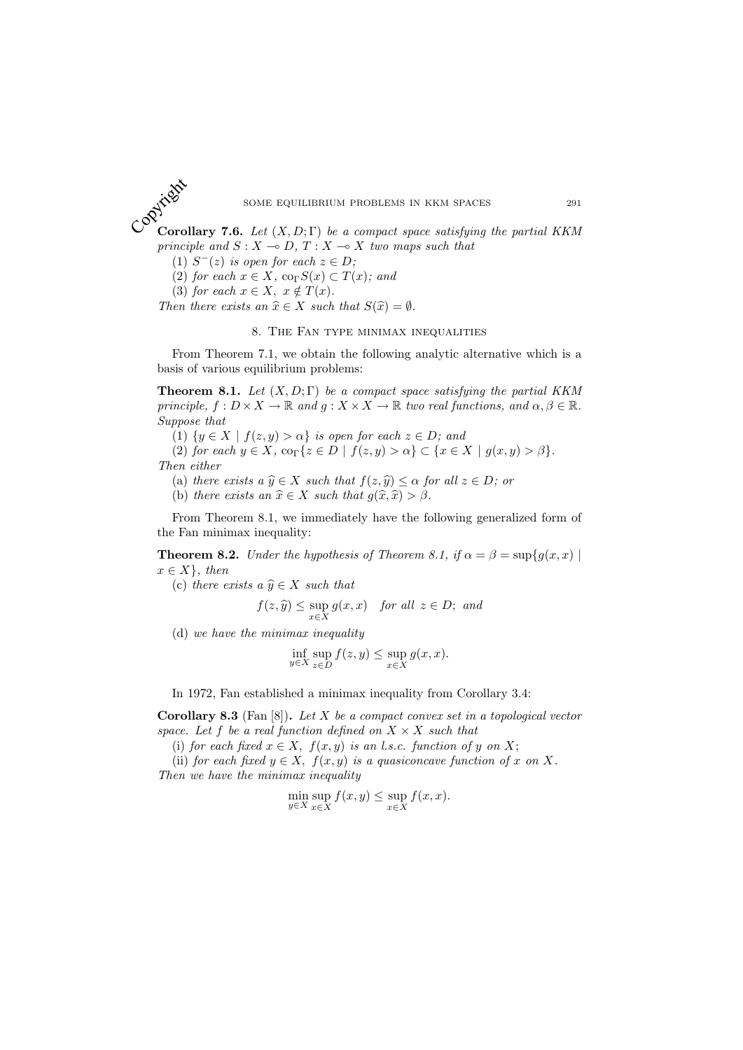Corollary 7.6. Let  $(X, D; \Gamma)$  be a compact space satisfying the partial KKM principle and  $S : X \to D, T : X \to X$  two maps such that Copyright

(1)  $S^{-}(z)$  is open for each  $z \in D$ ;

(2) for each  $x \in X$ ,  $\text{co}_{\Gamma}S(x) \subset T(x)$ ; and

(3) for each  $x \in X$ ,  $x \notin T(x)$ .

Then there exists an  $\hat{x} \in X$  such that  $S(\hat{x}) = \emptyset$ .

## 8. The Fan type minimax inequalities

From Theorem 7.1, we obtain the following analytic alternative which is a basis of various equilibrium problems:

**Theorem 8.1.** Let  $(X, D; \Gamma)$  be a compact space satisfying the partial KKM principle,  $f: D \times X \to \mathbb{R}$  and  $g: X \times X \to \mathbb{R}$  two real functions, and  $\alpha, \beta \in \mathbb{R}$ . Suppose that

(1)  $\{y \in X \mid f(z, y) > \alpha\}$  is open for each  $z \in D$ ; and

(2) for each  $y \in X$ ,  $\text{co}_{\Gamma}\{z \in D \mid f(z, y) > \alpha\} \subset \{x \in X \mid g(x, y) > \beta\}.$ Then either

(a) there exists a  $\hat{y} \in X$  such that  $f(z, \hat{y}) \leq \alpha$  for all  $z \in D$ ; or (b) there exists an  $\hat{x} \in X$  such that  $g(\hat{x}, \hat{x}) > \beta$ .

From Theorem 8.1, we immediately have the following generalized form of the Fan minimax inequality:

**Theorem 8.2.** Under the hypothesis of Theorem 8.1, if  $\alpha = \beta = \sup\{g(x, x) \mid$  $x \in X$ , then

(c) there exists a  $\hat{y} \in X$  such that

$$
f(z, \hat{y}) \le \sup_{x \in X} g(x, x) \quad \text{for all } z \in D; \text{ and}
$$

(d) we have the minimax inequality

$$
\inf_{y \in X} \sup_{z \in D} f(z, y) \le \sup_{x \in X} g(x, x).
$$

In 1972, Fan established a minimax inequality from Corollary 3.4:

**Corollary 8.3** (Fan  $[8]$ ). Let X be a compact convex set in a topological vector space. Let f be a real function defined on  $X \times X$  such that

(i) for each fixed  $x \in X$ ,  $f(x, y)$  is an l.s.c. function of y on X;

(ii) for each fixed  $y \in X$ ,  $f(x, y)$  is a quasiconcave function of x on X. Then we have the minimax inequality

$$
\min_{y \in X} \sup_{x \in X} f(x, y) \le \sup_{x \in X} f(x, x).
$$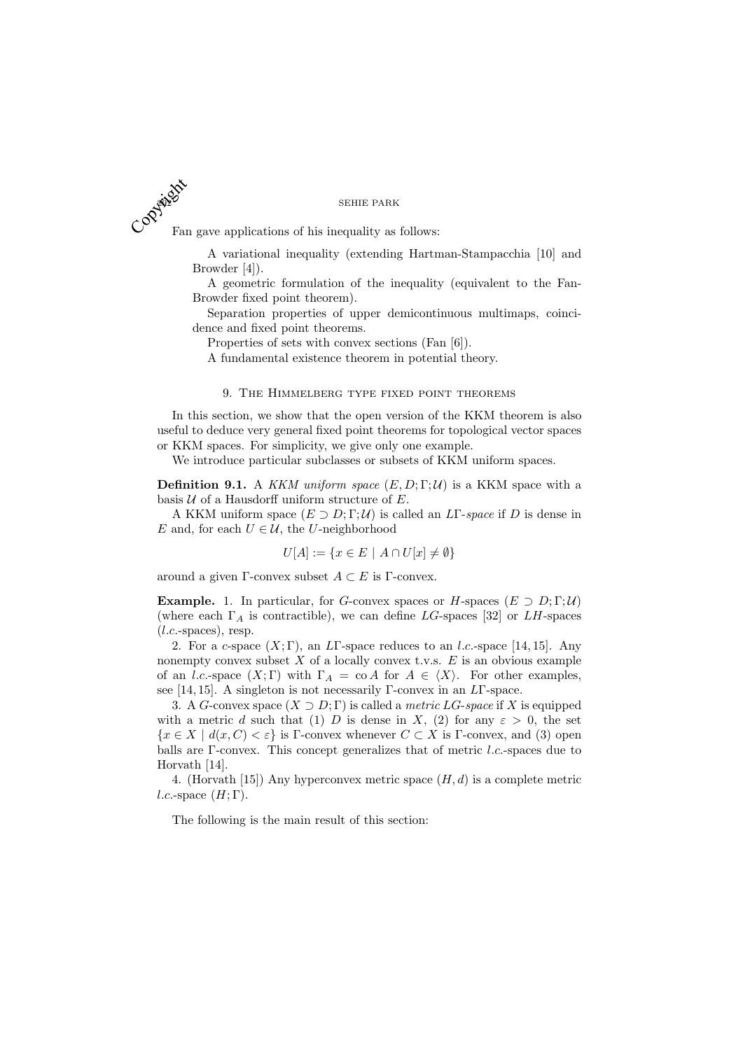SEHIE PARK Fan gave applications of his inequality as follows: Copyright Fall

> A variational inequality (extending Hartman-Stampacchia [10] and Browder [4]).

> A geometric formulation of the inequality (equivalent to the Fan-Browder fixed point theorem).

> Separation properties of upper demicontinuous multimaps, coincidence and fixed point theorems.

Properties of sets with convex sections (Fan [6]).

A fundamental existence theorem in potential theory.

## 9. The Himmelberg type fixed point theorems

In this section, we show that the open version of the KKM theorem is also useful to deduce very general fixed point theorems for topological vector spaces or KKM spaces. For simplicity, we give only one example.

We introduce particular subclasses or subsets of KKM uniform spaces.

**Definition 9.1.** A KKM uniform space  $(E, D; \Gamma; \mathcal{U})$  is a KKM space with a basis  $U$  of a Hausdorff uniform structure of  $E$ .

A KKM uniform space  $(E \supset D; \Gamma; \mathcal{U})$  is called an LT-space if D is dense in E and, for each  $U \in \mathcal{U}$ , the U-neighborhood

$$
U[A] := \{ x \in E \mid A \cap U[x] \neq \emptyset \}
$$

around a given Γ-convex subset  $A \subset E$  is Γ-convex.

**Example.** 1. In particular, for G-convex spaces or H-spaces  $(E \supset D; \Gamma; \mathcal{U})$ (where each  $\Gamma_A$  is contractible), we can define LG-spaces [32] or LH-spaces  $(l.c.\text{-spaces})$ , resp.

2. For a c-space  $(X; \Gamma)$ , an LT-space reduces to an l.c.-space [14, 15]. Any nonempty convex subset  $X$  of a locally convex t.v.s.  $E$  is an obvious example of an *l.c.*-space  $(X; \Gamma)$  with  $\Gamma_A = \text{co } A$  for  $A \in \langle X \rangle$ . For other examples, see [14, 15]. A singleton is not necessarily Γ-convex in an LΓ-space.

3. A G-convex space  $(X \supset D; \Gamma)$  is called a *metric LG-space* if X is equipped with a metric d such that (1) D is dense in X, (2) for any  $\varepsilon > 0$ , the set  ${x \in X \mid d(x, C) < \varepsilon}$  is Γ-convex whenever  $C \subset X$  is Γ-convex, and (3) open balls are Γ-convex. This concept generalizes that of metric l.c.-spaces due to Horvath [14].

4. (Horvath [15]) Any hyperconvex metric space  $(H, d)$  is a complete metric l.c.-space  $(H; \Gamma)$ .

The following is the main result of this section: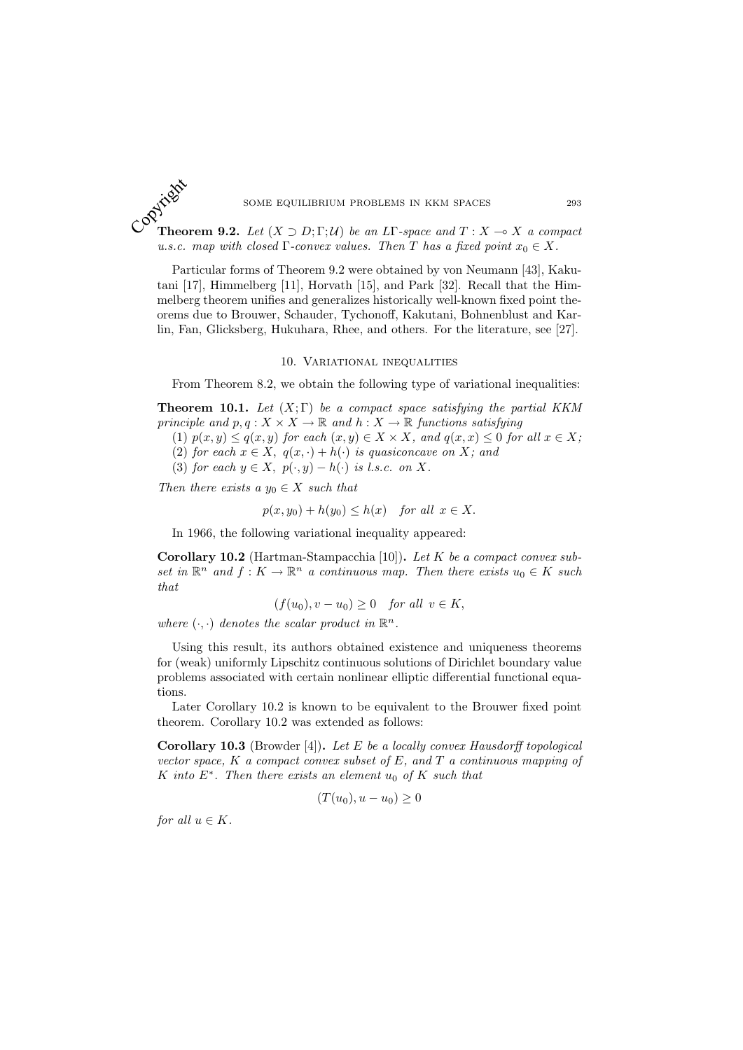

## SOME EQUILIBRIUM PROBLEMS IN KKM SPACES 293

**Theorem 9.2.** Let  $(X \supset D; \Gamma; \mathcal{U})$  be an LT-space and  $T : X \to X$  a compact u.s.c. map with closed  $\Gamma$ -convex values. Then T has a fixed point  $x_0 \in X$ .

Particular forms of Theorem 9.2 were obtained by von Neumann [43], Kakutani [17], Himmelberg [11], Horvath [15], and Park [32]. Recall that the Himmelberg theorem unifies and generalizes historically well-known fixed point theorems due to Brouwer, Schauder, Tychonoff, Kakutani, Bohnenblust and Karlin, Fan, Glicksberg, Hukuhara, Rhee, and others. For the literature, see [27].

## 10. Variational inequalities

From Theorem 8.2, we obtain the following type of variational inequalities:

**Theorem 10.1.** Let  $(X;\Gamma)$  be a compact space satisfying the partial KKM principle and  $p, q: X \times X \to \mathbb{R}$  and  $h: X \to \mathbb{R}$  functions satisfying

- (1)  $p(x, y) \leq q(x, y)$  for each  $(x, y) \in X \times X$ , and  $q(x, x) \leq 0$  for all  $x \in X$ ;
- (2) for each  $x \in X$ ,  $q(x, \cdot) + h(\cdot)$  is quasiconcave on X; and
- (3) for each  $y \in X$ ,  $p(\cdot, y) h(\cdot)$  is l.s.c. on X.

Then there exists a  $y_0 \in X$  such that

$$
p(x, y_0) + h(y_0) \le h(x) \quad for all x \in X.
$$

In 1966, the following variational inequality appeared:

Corollary 10.2 (Hartman-Stampacchia [10]). Let K be a compact convex subset in  $\mathbb{R}^n$  and  $f: K \to \mathbb{R}^n$  a continuous map. Then there exists  $u_0 \in K$  such that

$$
(f(u_0), v - u_0) \ge 0 \quad for all \ v \in K,
$$

where  $(\cdot, \cdot)$  denotes the scalar product in  $\mathbb{R}^n$ .

Using this result, its authors obtained existence and uniqueness theorems for (weak) uniformly Lipschitz continuous solutions of Dirichlet boundary value problems associated with certain nonlinear elliptic differential functional equations.

Later Corollary 10.2 is known to be equivalent to the Brouwer fixed point theorem. Corollary 10.2 was extended as follows:

**Corollary 10.3** (Browder [4]). Let  $E$  be a locally convex Hausdorff topological vector space,  $K$  a compact convex subset of  $E$ , and  $T$  a continuous mapping of K into  $E^*$ . Then there exists an element  $u_0$  of K such that

$$
(T(u_0), u - u_0) \ge 0
$$

for all  $u \in K$ .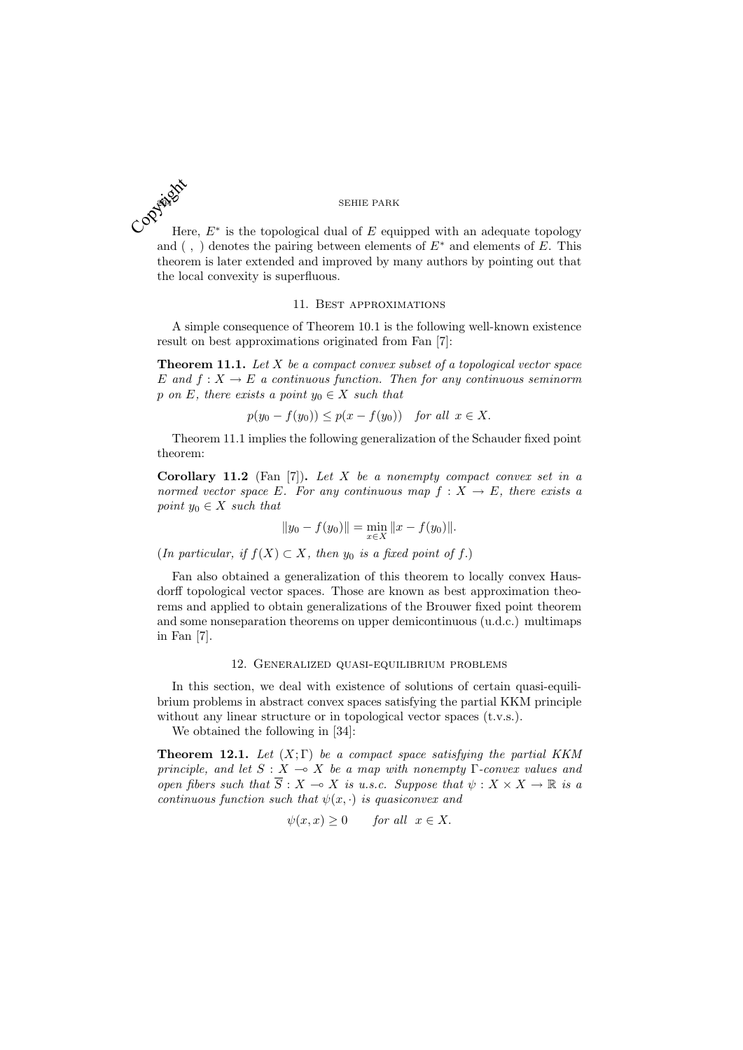

Here,  $E^*$  is the topological dual of  $E$  equipped with an adequate topology and (,) denotes the pairing between elements of  $E^*$  and elements of E. This theorem is later extended and improved by many authors by pointing out that the local convexity is superfluous.

## 11. Best approximations

A simple consequence of Theorem 10.1 is the following well-known existence result on best approximations originated from Fan [7]:

**Theorem 11.1.** Let  $X$  be a compact convex subset of a topological vector space E and  $f: X \to E$  a continuous function. Then for any continuous seminorm p on E, there exists a point  $y_0 \in X$  such that

$$
p(y_0 - f(y_0)) \le p(x - f(y_0)) \quad for all x \in X.
$$

Theorem 11.1 implies the following generalization of the Schauder fixed point theorem:

Corollary 11.2 (Fan  $[7]$ ). Let X be a nonempty compact convex set in a normed vector space E. For any continuous map  $f: X \to E$ , there exists a point  $y_0 \in X$  such that

$$
||y_0 - f(y_0)|| = \min_{x \in X} ||x - f(y_0)||.
$$

(In particular, if  $f(X) \subset X$ , then  $y_0$  is a fixed point of f.)

Fan also obtained a generalization of this theorem to locally convex Hausdorff topological vector spaces. Those are known as best approximation theorems and applied to obtain generalizations of the Brouwer fixed point theorem and some nonseparation theorems on upper demicontinuous (u.d.c.) multimaps in Fan [7].

## 12. Generalized quasi-equilibrium problems

In this section, we deal with existence of solutions of certain quasi-equilibrium problems in abstract convex spaces satisfying the partial KKM principle without any linear structure or in topological vector spaces (t.v.s.).

We obtained the following in [34]:

**Theorem 12.1.** Let  $(X;\Gamma)$  be a compact space satisfying the partial KKM principle, and let  $S : X \to X$  be a map with nonempty Γ-convex values and open fibers such that  $\overline{S}$  :  $X \to X$  is u.s.c. Suppose that  $\psi : X \times X \to \mathbb{R}$  is a continuous function such that  $\psi(x, \cdot)$  is quasiconvex and

$$
\psi(x, x) \ge 0 \quad \text{for all } x \in X.
$$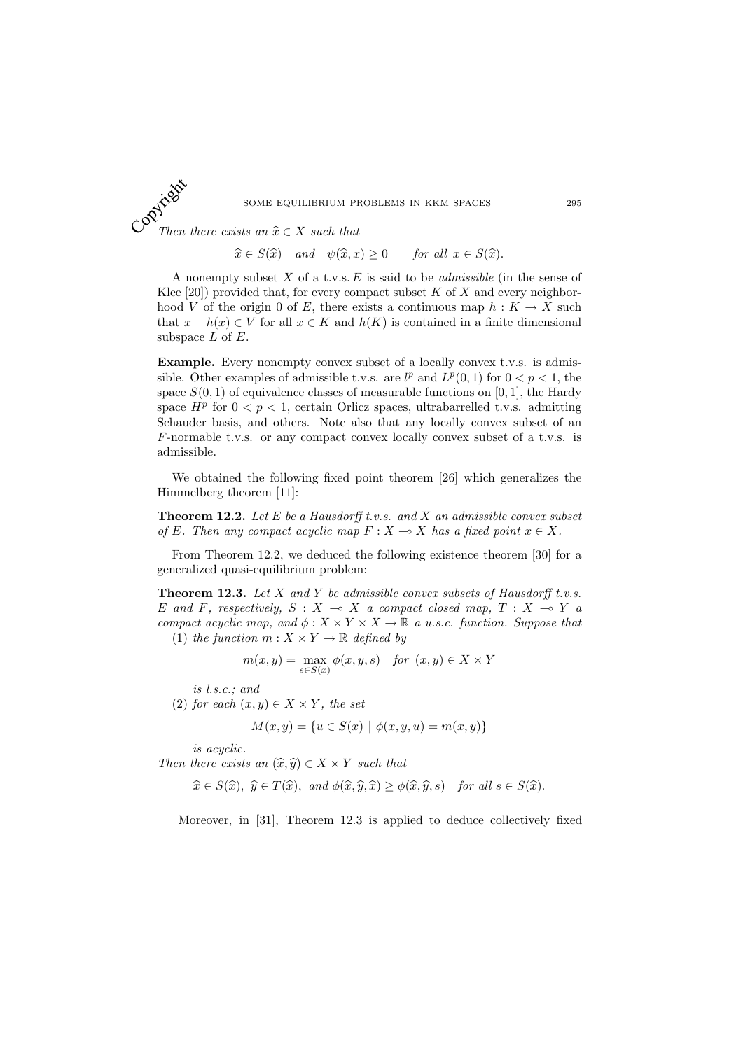SOME EQUILIBRIUM PROBLEMS IN KKM SPACES 295

Then there exists an  $\hat{x} \in X$  such that Copyright

$$
\widehat{x} \in S(\widehat{x})
$$
 and  $\psi(\widehat{x}, x) \ge 0$  for all  $x \in S(\widehat{x})$ .

A nonempty subset  $X$  of a t.v.s.  $E$  is said to be *admissible* (in the sense of Klee  $[20]$ ) provided that, for every compact subset K of X and every neighborhood V of the origin 0 of E, there exists a continuous map  $h: K \to X$  such that  $x - h(x) \in V$  for all  $x \in K$  and  $h(K)$  is contained in a finite dimensional subspace  $L$  of  $E$ .

Example. Every nonempty convex subset of a locally convex t.v.s. is admissible. Other examples of admissible t.v.s. are  $l^p$  and  $L^p(0,1)$  for  $0 < p < 1$ , the space  $S(0, 1)$  of equivalence classes of measurable functions on [0, 1], the Hardy space  $H^p$  for  $0 < p < 1$ , certain Orlicz spaces, ultrabarrelled t.v.s. admitting Schauder basis, and others. Note also that any locally convex subset of an F-normable t.v.s. or any compact convex locally convex subset of a t.v.s. is admissible.

We obtained the following fixed point theorem [26] which generalizes the Himmelberg theorem [11]:

**Theorem 12.2.** Let  $E$  be a Hausdorff t.v.s. and  $X$  an admissible convex subset of E. Then any compact acyclic map  $F : X \to X$  has a fixed point  $x \in X$ .

From Theorem 12.2, we deduced the following existence theorem [30] for a generalized quasi-equilibrium problem:

**Theorem 12.3.** Let  $X$  and  $Y$  be admissible convex subsets of Hausdorff t.v.s. E and F, respectively,  $S : X \multimap X$  a compact closed map,  $T : X \multimap Y$  a compact acyclic map, and  $\phi: X \times Y \times X \to \mathbb{R}$  a u.s.c. function. Suppose that (1) the function  $m: X \times Y \to \mathbb{R}$  defined by

$$
m(x, y) = \max_{s \in S(x)} \phi(x, y, s) \quad \text{for } (x, y) \in X \times Y
$$

is l.s.c.; and

(2) for each  $(x, y) \in X \times Y$ , the set

$$
M(x, y) = \{u \in S(x) \mid \phi(x, y, u) = m(x, y)\}\
$$

is acyclic.

Then there exists an  $(\widehat{x}, \widehat{y}) \in X \times Y$  such that

$$
\widehat{x} \in S(\widehat{x}), \ \widehat{y} \in T(\widehat{x}), \ \text{and} \ \phi(\widehat{x}, \widehat{y}, \widehat{x}) \geq \phi(\widehat{x}, \widehat{y}, s) \ \text{for all } s \in S(\widehat{x}).
$$

Moreover, in [31], Theorem 12.3 is applied to deduce collectively fixed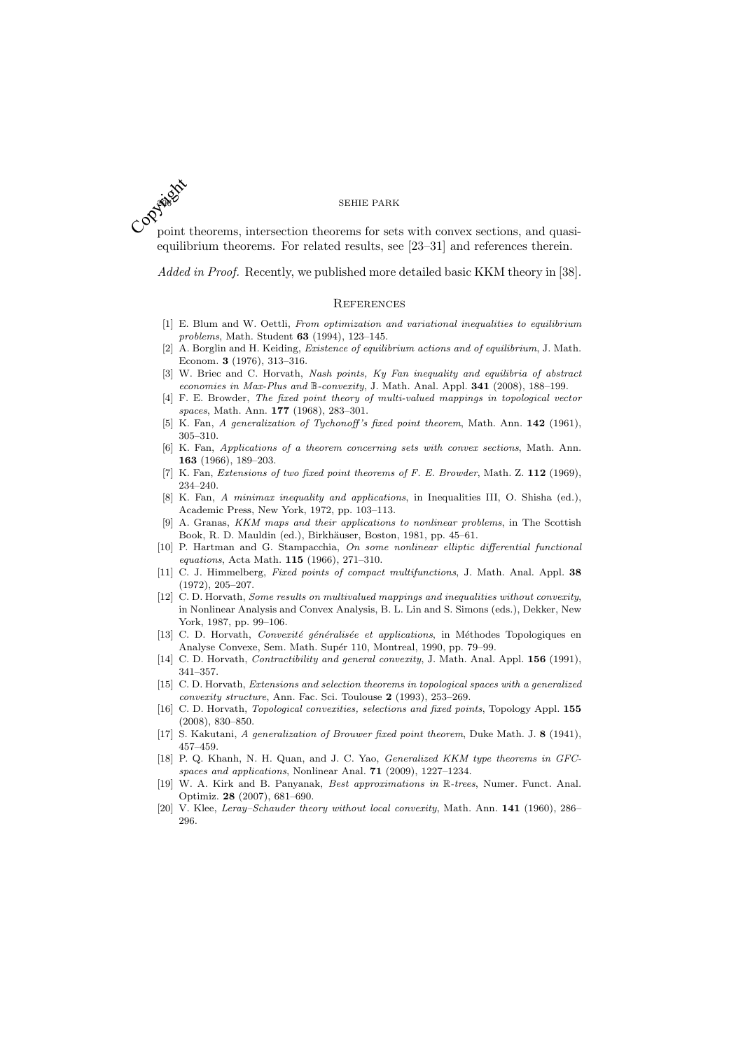point theorems, intersection theorems for sets with convex sections, and quasiequilibrium theorems. For related results, see [23–31] and references therein. Copyright

Added in Proof. Recently, we published more detailed basic KKM theory in [38].

#### **REFERENCES**

- [1] E. Blum and W. Oettli, From optimization and variational inequalities to equilibrium problems, Math. Student 63 (1994), 123–145.
- [2] A. Borglin and H. Keiding, Existence of equilibrium actions and of equilibrium, J. Math. Econom. 3 (1976), 313–316.
- [3] W. Briec and C. Horvath, Nash points, Ky Fan inequality and equilibria of abstract economies in Max-Plus and B-convexity, J. Math. Anal. Appl. 341 (2008), 188–199.
- [4] F. E. Browder, The fixed point theory of multi-valued mappings in topological vector spaces, Math. Ann. 177 (1968), 283–301.
- [5] K. Fan, A generalization of Tychonoff's fixed point theorem, Math. Ann. 142 (1961), 305–310.
- [6] K. Fan, Applications of a theorem concerning sets with convex sections, Math. Ann. 163 (1966), 189–203.
- [7] K. Fan, Extensions of two fixed point theorems of F. E. Browder, Math. Z. 112 (1969), 234–240.
- [8] K. Fan, A minimax inequality and applications, in Inequalities III, O. Shisha (ed.), Academic Press, New York, 1972, pp. 103–113.
- A. Granas, KKM maps and their applications to nonlinear problems, in The Scottish Book, R. D. Mauldin (ed.), Birkhäuser, Boston, 1981, pp. 45–61.
- [10] P. Hartman and G. Stampacchia, On some nonlinear elliptic differential functional equations, Acta Math. 115 (1966), 271–310.
- [11] C. J. Himmelberg, Fixed points of compact multifunctions, J. Math. Anal. Appl. 38 (1972), 205–207.
- [12] C. D. Horvath, Some results on multivalued mappings and inequalities without convexity, in Nonlinear Analysis and Convex Analysis, B. L. Lin and S. Simons (eds.), Dekker, New York, 1987, pp. 99–106.
- [13] C. D. Horvath, Convexité généralisée et applications, in Méthodes Topologiques en Analyse Convexe, Sem. Math. Supér 110, Montreal, 1990, pp. 79-99.
- [14] C. D. Horvath, Contractibility and general convexity, J. Math. Anal. Appl. **156** (1991), 341–357.
- [15] C. D. Horvath, Extensions and selection theorems in topological spaces with a generalized convexity structure, Ann. Fac. Sci. Toulouse 2 (1993), 253–269.
- [16] C. D. Horvath, Topological convexities, selections and fixed points, Topology Appl. 155 (2008), 830–850.
- [17] S. Kakutani, A generalization of Brouwer fixed point theorem, Duke Math. J. 8 (1941), 457–459.
- [18] P. Q. Khanh, N. H. Quan, and J. C. Yao, *Generalized KKM type theorems in GFC*spaces and applications, Nonlinear Anal. 71 (2009), 1227–1234.
- [19] W. A. Kirk and B. Panyanak, Best approximations in R-trees, Numer. Funct. Anal. Optimiz. 28 (2007), 681–690.
- [20] V. Klee, Leray–Schauder theory without local convexity, Math. Ann. 141 (1960), 286– 296.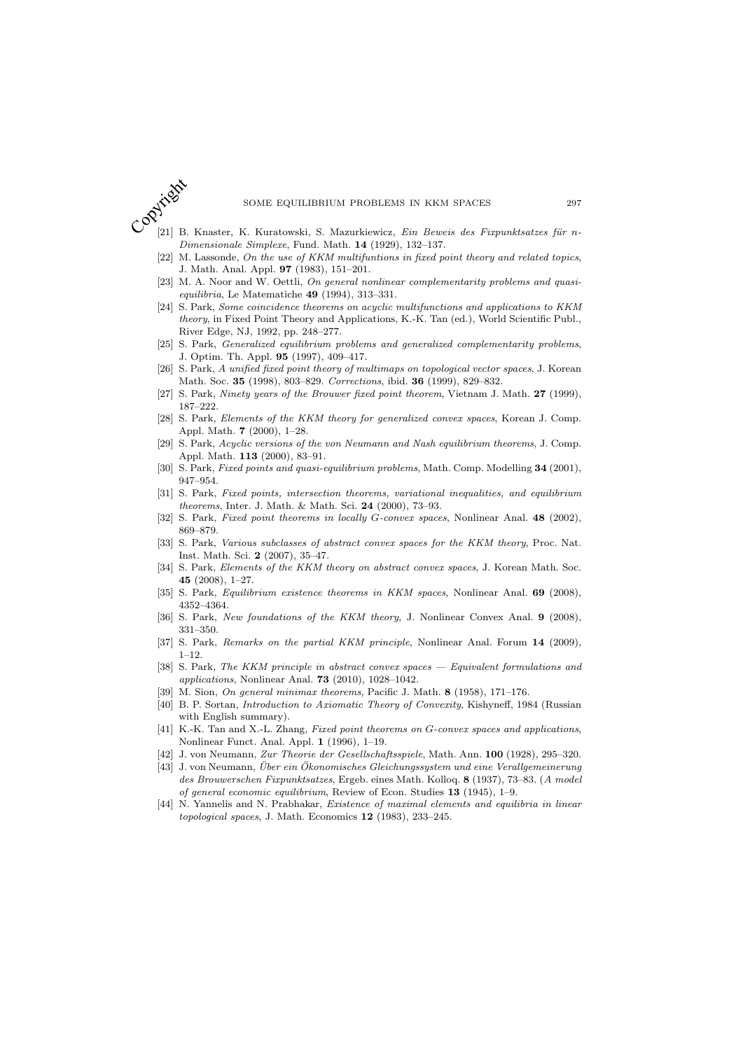

- $[21]$  B. Knaster, K. Kuratowski, S. Mazurkiewicz, Ein Beweis des Fixpunktsatzes für n-Dimensionale Simplexe, Fund. Math. 14 (1929), 132–137.
- [22] M. Lassonde, On the use of KKM multifuntions in fixed point theory and related topics, J. Math. Anal. Appl. 97 (1983), 151–201.
- [23] M. A. Noor and W. Oettli, On general nonlinear complementarity problems and quasiequilibria, Le Matematiche 49 (1994), 313–331.
- [24] S. Park, Some coincidence theorems on acyclic multifunctions and applications to KKM theory, in Fixed Point Theory and Applications, K.-K. Tan (ed.), World Scientific Publ., River Edge, NJ, 1992, pp. 248–277.
- [25] S. Park, Generalized equilibrium problems and generalized complementarity problems, J. Optim. Th. Appl. 95 (1997), 409–417.
- [26] S. Park, A unified fixed point theory of multimaps on topological vector spaces, J. Korean Math. Soc. 35 (1998), 803–829. Corrections, ibid. 36 (1999), 829–832.
- [27] S. Park, Ninety years of the Brouwer fixed point theorem, Vietnam J. Math. 27 (1999), 187–222.
- [28] S. Park, Elements of the KKM theory for generalized convex spaces, Korean J. Comp. Appl. Math. 7 (2000), 1–28.
- [29] S. Park, Acyclic versions of the von Neumann and Nash equilibrium theorems, J. Comp. Appl. Math. 113 (2000), 83–91.
- [30] S. Park, Fixed points and quasi-equilibrium problems, Math. Comp. Modelling 34 (2001), 947–954.
- [31] S. Park, Fixed points, intersection theorems, variational inequalities, and equilibrium theorems, Inter. J. Math. & Math. Sci. 24 (2000), 73–93.
- [32] S. Park, *Fixed point theorems in locally G-convex spaces*, Nonlinear Anal. 48 (2002), 869–879.
- [33] S. Park, Various subclasses of abstract convex spaces for the KKM theory, Proc. Nat. Inst. Math. Sci. 2 (2007), 35–47.
- [34] S. Park, Elements of the KKM theory on abstract convex spaces, J. Korean Math. Soc. 45 (2008), 1–27.
- [35] S. Park, *Equilibrium existence theorems in KKM spaces*, Nonlinear Anal. **69** (2008), 4352–4364.
- [36] S. Park, New foundations of the KKM theory, J. Nonlinear Convex Anal. 9 (2008), 331–350.
- [37] S. Park, Remarks on the partial KKM principle, Nonlinear Anal. Forum 14 (2009), 1–12.
- [38] S. Park, The KKM principle in abstract convex spaces Equivalent formulations and applications, Nonlinear Anal. 73 (2010), 1028–1042.
- [39] M. Sion, On general minimax theorems, Pacific J. Math.  $8$  (1958), 171–176.
- [40] B. P. Sortan, Introduction to Axiomatic Theory of Convexity, Kishyneff, 1984 (Russian with English summary).
- [41] K.-K. Tan and X.-L. Zhang, Fixed point theorems on G-convex spaces and applications, Nonlinear Funct. Anal. Appl. 1 (1996), 1–19.
- [42] J. von Neumann, Zur Theorie der Gesellschaftsspiele, Math. Ann. 100 (1928), 295–320.
- [43] J. von Neumann, Über ein Ökonomisches Gleichungssystem und eine Verallgemeinerung des Brouwerschen Fixpunktsatzes, Ergeb. eines Math. Kolloq. 8 (1937), 73–83. (A model of general economic equilibrium, Review of Econ. Studies 13 (1945), 1–9.
- [44] N. Yannelis and N. Prabhakar, Existence of maximal elements and equilibria in linear topological spaces, J. Math. Economics 12 (1983), 233–245.